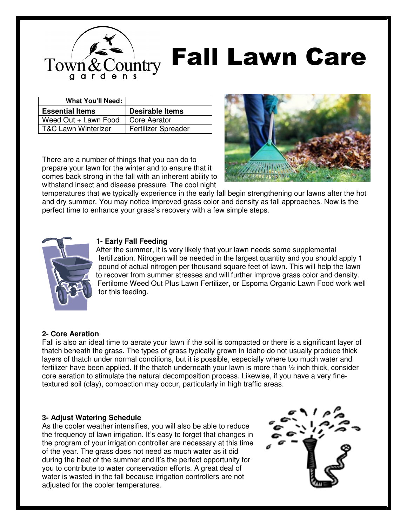

# Fall Lawn Care

| <b>What You'll Need:</b>       |                            |
|--------------------------------|----------------------------|
| <b>Essential Items</b>         | <b>Desirable Items</b>     |
| Weed Out + Lawn Food           | Core Aerator               |
| <b>T&amp;C Lawn Winterizer</b> | <b>Fertilizer Spreader</b> |

There are a number of things that you can do to prepare your lawn for the winter and to ensure that it comes back strong in the fall with an inherent ability to withstand insect and disease pressure. The cool night



temperatures that we typically experience in the early fall begin strengthening our lawns after the hot and dry summer. You may notice improved grass color and density as fall approaches. Now is the perfect time to enhance your grass's recovery with a few simple steps.



## **1- Early Fall Feeding**

After the summer, it is very likely that your lawn needs some supplemental fertilization. Nitrogen will be needed in the largest quantity and you should apply 1 pound of actual nitrogen per thousand square feet of lawn. This will help the lawn to recover from summer stresses and will further improve grass color and density. Fertilome Weed Out Plus Lawn Fertilizer, or Espoma Organic Lawn Food work well for this feeding.

## **2- Core Aeration**

Fall is also an ideal time to aerate your lawn if the soil is compacted or there is a significant layer of thatch beneath the grass. The types of grass typically grown in Idaho do not usually produce thick layers of thatch under normal conditions, but it is possible, especially where too much water and fertilizer have been applied. If the thatch underneath your lawn is more than 1/2 inch thick, consider core aeration to stimulate the natural decomposition process. Likewise, if you have a very finetextured soil (clay), compaction may occur, particularly in high traffic areas.

## **3- Adjust Watering Schedule**

As the cooler weather intensifies, you will also be able to reduce the frequency of lawn irrigation. It's easy to forget that changes in the program of your irrigation controller are necessary at this time of the year. The grass does not need as much water as it did during the heat of the summer and it's the perfect opportunity for you to contribute to water conservation efforts. A great deal of water is wasted in the fall because irrigation controllers are not adjusted for the cooler temperatures.